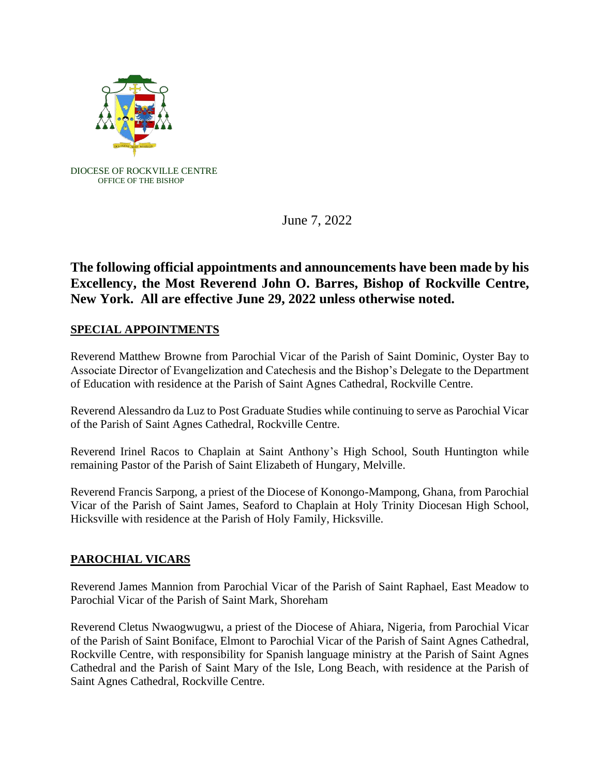

June 7, 2022

## **The following official appointments and announcements have been made by his Excellency, the Most Reverend John O. Barres, Bishop of Rockville Centre, New York. All are effective June 29, 2022 unless otherwise noted.**

## **SPECIAL APPOINTMENTS**

Reverend Matthew Browne from Parochial Vicar of the Parish of Saint Dominic, Oyster Bay to Associate Director of Evangelization and Catechesis and the Bishop's Delegate to the Department of Education with residence at the Parish of Saint Agnes Cathedral, Rockville Centre.

Reverend Alessandro da Luz to Post Graduate Studies while continuing to serve as Parochial Vicar of the Parish of Saint Agnes Cathedral, Rockville Centre.

Reverend Irinel Racos to Chaplain at Saint Anthony's High School, South Huntington while remaining Pastor of the Parish of Saint Elizabeth of Hungary, Melville.

Reverend Francis Sarpong, a priest of the Diocese of Konongo-Mampong, Ghana, from Parochial Vicar of the Parish of Saint James, Seaford to Chaplain at Holy Trinity Diocesan High School, Hicksville with residence at the Parish of Holy Family, Hicksville.

## **PAROCHIAL VICARS**

Reverend James Mannion from Parochial Vicar of the Parish of Saint Raphael, East Meadow to Parochial Vicar of the Parish of Saint Mark, Shoreham

Reverend Cletus Nwaogwugwu, a priest of the Diocese of Ahiara, Nigeria, from Parochial Vicar of the Parish of Saint Boniface, Elmont to Parochial Vicar of the Parish of Saint Agnes Cathedral, Rockville Centre, with responsibility for Spanish language ministry at the Parish of Saint Agnes Cathedral and the Parish of Saint Mary of the Isle, Long Beach, with residence at the Parish of Saint Agnes Cathedral, Rockville Centre.